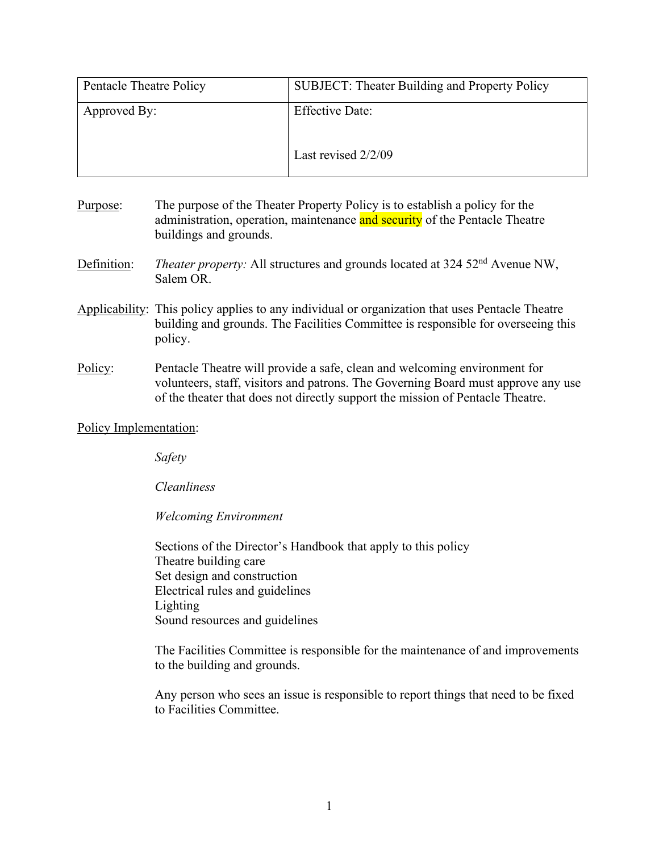| Pentacle Theatre Policy | <b>SUBJECT: Theater Building and Property Policy</b> |
|-------------------------|------------------------------------------------------|
| Approved By:            | <b>Effective Date:</b>                               |
|                         | Last revised 2/2/09                                  |

- Purpose: The purpose of the Theater Property Policy is to establish a policy for the administration, operation, maintenance and security of the Pentacle Theatre buildings and grounds.
- Definition: *Theater property:* All structures and grounds located at 324 52<sup>nd</sup> Avenue NW, Salem OR.
- Applicability: This policy applies to any individual or organization that uses Pentacle Theatre building and grounds. The Facilities Committee is responsible for overseeing this policy.
- Policy: Pentacle Theatre will provide a safe, clean and welcoming environment for volunteers, staff, visitors and patrons. The Governing Board must approve any use of the theater that does not directly support the mission of Pentacle Theatre.

## Policy Implementation:

*Safety* 

*Cleanliness* 

*Welcoming Environment* 

Sections of the Director's Handbook that apply to this policy Theatre building care Set design and construction Electrical rules and guidelines Lighting Sound resources and guidelines

The Facilities Committee is responsible for the maintenance of and improvements to the building and grounds.

Any person who sees an issue is responsible to report things that need to be fixed to Facilities Committee.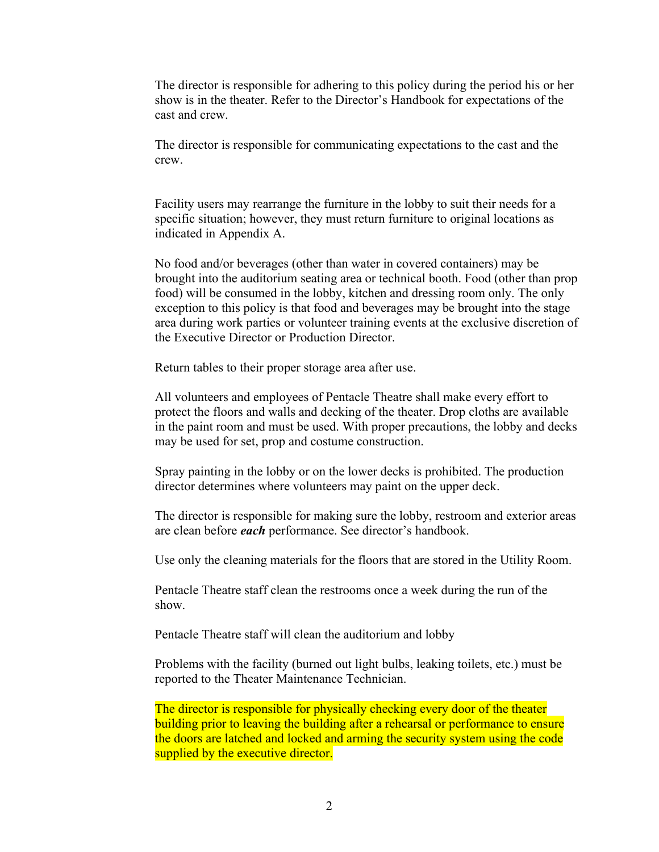The director is responsible for adhering to this policy during the period his or her show is in the theater. Refer to the Director's Handbook for expectations of the cast and crew.

The director is responsible for communicating expectations to the cast and the crew.

Facility users may rearrange the furniture in the lobby to suit their needs for a specific situation; however, they must return furniture to original locations as indicated in Appendix A.

No food and/or beverages (other than water in covered containers) may be brought into the auditorium seating area or technical booth. Food (other than prop food) will be consumed in the lobby, kitchen and dressing room only. The only exception to this policy is that food and beverages may be brought into the stage area during work parties or volunteer training events at the exclusive discretion of the Executive Director or Production Director.

Return tables to their proper storage area after use.

All volunteers and employees of Pentacle Theatre shall make every effort to protect the floors and walls and decking of the theater. Drop cloths are available in the paint room and must be used. With proper precautions, the lobby and decks may be used for set, prop and costume construction.

Spray painting in the lobby or on the lower decks is prohibited. The production director determines where volunteers may paint on the upper deck.

The director is responsible for making sure the lobby, restroom and exterior areas are clean before *each* performance. See director's handbook.

Use only the cleaning materials for the floors that are stored in the Utility Room.

Pentacle Theatre staff clean the restrooms once a week during the run of the show.

Pentacle Theatre staff will clean the auditorium and lobby

Problems with the facility (burned out light bulbs, leaking toilets, etc.) must be reported to the Theater Maintenance Technician.

The director is responsible for physically checking every door of the theater building prior to leaving the building after a rehearsal or performance to ensure the doors are latched and locked and arming the security system using the code supplied by the executive director.